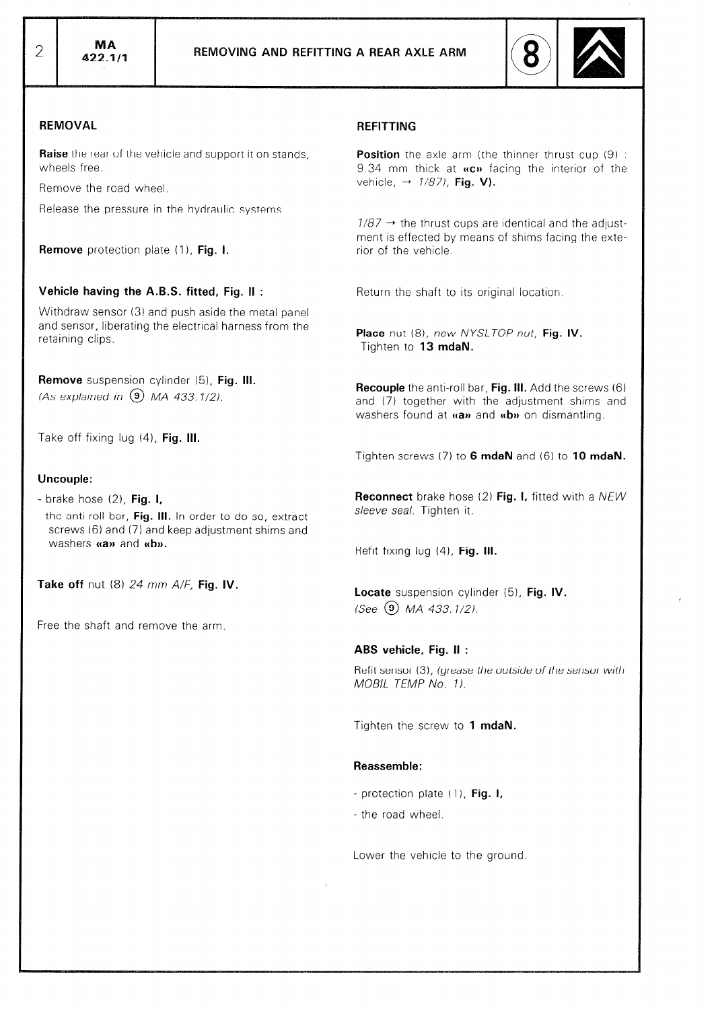

### REMOVAL

Raise the rear of the vehicle and support it on stands, wheels free.

Remove the road wheel.

Release the pressure in the hydraulic systems.

Remove protection plate (1), Fig. I.

# Vehicle having the A.B.S. fitted, Fig. II :

Withdraw sensor (3) and push aside the metal panel and sensor, liberating the electrical harness from the retaining clips.

Remove suspension cylinder (5), Fig. III. (As explained in  $(9)$  MA 433.1/2).

Take off fixing lug  $(4)$ , Fig. III.

#### Uncouple:

- $-$  brake hose  $(2)$ , Fig. I,
- the anti-roll bar, Fig. III. In order to do so, extract screws (6) and (7) and keep adjustment shims and washers **«a»** and **«b»**.

Take off nut (8)  $24$  mm  $A/F$ , Fig. IV.

Free the shaft and remove the arm.

## REFITTING

**Position** the axle arm (the thinner thrust cup (9) : 9.34 mm thick at  $\kappa$ C<sub>p</sub> facing the interior of the vehicle,  $\rightarrow$  1/87), Fig. V).

 $1/87 \rightarrow$  the thrust cups are identical and the adjustment is effected by means of shims facing the exterior of the vehicle.

Return the shaft to its original location.

Place nut (8), new NYSLTOP nut, Fig. IV. Tighten to 13 mdaN.

Recouple the anti-roll bar, Fig. Ill. Add the screws (6) and (7) together with the adjustment shims and washers found at  $\alpha$ a» and  $\alpha$ b» on dismantling.

Tighten screws (7) to 6 mdaN and (6) to 10 mdaN.

Reconnect brake hose (2) Fig. I, fitted with a NEW sleeve seal. Tighten it.

Refit fixing lug (4), Fig. III.

Locate suspension cylinder (5), Fig. IV.  $(See \; (9)$  MA 433.1/2).

# ABS vehicle, Fig. II :

Refit sensor (3), (grease the outside of the sensor with MOBIL TEMP No. I).

Tighten the screw to 1 mdaN.

### Reassemble:

- protection plate  $(1)$ , Fig. I,

- the road wheel.

Lower the vehicle to the ground.